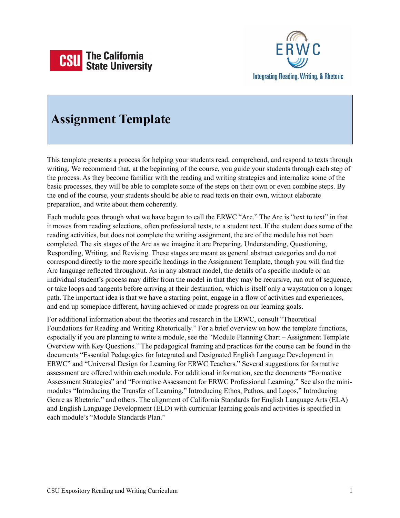



# **Assignment Template**

This template presents a process for helping your students read, comprehend, and respond to texts through writing. We recommend that, at the beginning of the course, you guide your students through each step of the process. As they become familiar with the reading and writing strategies and internalize some of the basic processes, they will be able to complete some of the steps on their own or even combine steps. By the end of the course, your students should be able to read texts on their own, without elaborate preparation, and write about them coherently.

Each module goes through what we have begun to call the ERWC "Arc." The Arc is "text to text" in that it moves from reading selections, often professional texts, to a student text. If the student does some of the reading activities, but does not complete the writing assignment, the arc of the module has not been completed. The six stages of the Arc as we imagine it are Preparing, Understanding, Questioning, Responding, Writing, and Revising. These stages are meant as general abstract categories and do not correspond directly to the more specific headings in the Assignment Template, though you will find the Arc language reflected throughout. As in any abstract model, the details of a specific module or an individual student's process may differ from the model in that they may be recursive, run out of sequence, or take loops and tangents before arriving at their destination, which is itself only a waystation on a longer path. The important idea is that we have a starting point, engage in a flow of activities and experiences, and end up someplace different, having achieved or made progress on our learning goals.

For additional information about the theories and research in the ERWC, consult "Theoretical Foundations for Reading and Writing Rhetorically." For a brief overview on how the template functions, especially if you are planning to write a module, see the "Module Planning Chart – Assignment Template Overview with Key Questions." The pedagogical framing and practices for the course can be found in the documents "Essential Pedagogies for Integrated and Designated English Language Development in ERWC" and "Universal Design for Learning for ERWC Teachers." Several suggestions for formative assessment are offered within each module. For additional information, see the documents "Formative Assessment Strategies" and "Formative Assessment for ERWC Professional Learning." See also the minimodules "Introducing the Transfer of Learning," Introducing Ethos, Pathos, and Logos," Introducing Genre as Rhetoric," and others. The alignment of California Standards for English Language Arts (ELA) and English Language Development (ELD) with curricular learning goals and activities is specified in each module's "Module Standards Plan."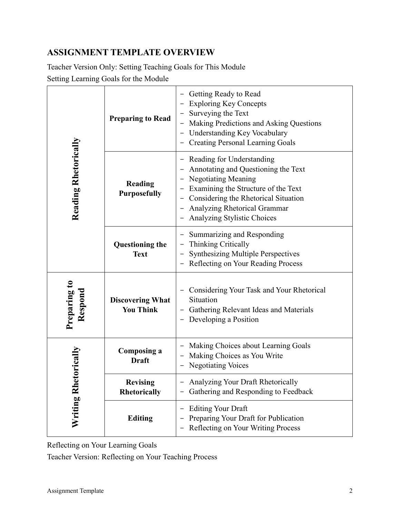# **ASSIGNMENT TEMPLATE OVERVIEW**

Teacher Version Only: Setting Teaching Goals for This Module Setting Learning Goals for the Module

| Reading Rhetorically    | <b>Preparing to Read</b>                    | Getting Ready to Read<br><b>Exploring Key Concepts</b><br>Surveying the Text<br>Making Predictions and Asking Questions<br>- Understanding Key Vocabulary<br><b>Creating Personal Learning Goals</b>                                         |
|-------------------------|---------------------------------------------|----------------------------------------------------------------------------------------------------------------------------------------------------------------------------------------------------------------------------------------------|
|                         | Reading<br><b>Purposefully</b>              | Reading for Understanding<br>Annotating and Questioning the Text<br><b>Negotiating Meaning</b><br>Examining the Structure of the Text<br>Considering the Rhetorical Situation<br>Analyzing Rhetorical Grammar<br>Analyzing Stylistic Choices |
|                         | <b>Questioning the</b><br><b>Text</b>       | Summarizing and Responding<br><b>Thinking Critically</b><br><b>Synthesizing Multiple Perspectives</b><br>Reflecting on Your Reading Process                                                                                                  |
| Preparing to<br>Respond | <b>Discovering What</b><br><b>You Think</b> | Considering Your Task and Your Rhetorical<br>Situation<br>- Gathering Relevant Ideas and Materials<br>Developing a Position                                                                                                                  |
| Writing Rhetorically    | Composing a<br><b>Draft</b>                 | Making Choices about Learning Goals<br>Making Choices as You Write<br><b>Negotiating Voices</b>                                                                                                                                              |
|                         | <b>Revising</b><br>Rhetorically             | Analyzing Your Draft Rhetorically<br>Gathering and Responding to Feedback                                                                                                                                                                    |
|                         | <b>Editing</b>                              | <b>Editing Your Draft</b><br>Preparing Your Draft for Publication<br>Reflecting on Your Writing Process                                                                                                                                      |

Reflecting on Your Learning Goals

Teacher Version: Reflecting on Your Teaching Process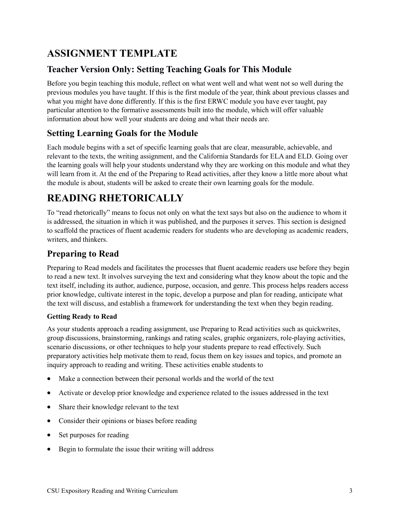# **ASSIGNMENT TEMPLATE**

# **Teacher Version Only: Setting Teaching Goals for This Module**

Before you begin teaching this module, reflect on what went well and what went not so well during the previous modules you have taught. If this is the first module of the year, think about previous classes and what you might have done differently. If this is the first ERWC module you have ever taught, pay particular attention to the formative assessments built into the module, which will offer valuable information about how well your students are doing and what their needs are.

## **Setting Learning Goals for the Module**

Each module begins with a set of specific learning goals that are clear, measurable, achievable, and relevant to the texts, the writing assignment, and the California Standards for ELA and ELD. Going over the learning goals will help your students understand why they are working on this module and what they will learn from it. At the end of the Preparing to Read activities, after they know a little more about what the module is about, students will be asked to create their own learning goals for the module.

# **READING RHETORICALLY**

To "read rhetorically" means to focus not only on what the text says but also on the audience to whom it is addressed, the situation in which it was published, and the purposes it serves. This section is designed to scaffold the practices of fluent academic readers for students who are developing as academic readers, writers, and thinkers.

## **Preparing to Read**

Preparing to Read models and facilitates the processes that fluent academic readers use before they begin to read a new text. It involves surveying the text and considering what they know about the topic and the text itself, including its author, audience, purpose, occasion, and genre. This process helps readers access prior knowledge, cultivate interest in the topic, develop a purpose and plan for reading, anticipate what the text will discuss, and establish a framework for understanding the text when they begin reading.

#### **Getting Ready to Read**

As your students approach a reading assignment, use Preparing to Read activities such as quickwrites, group discussions, brainstorming, rankings and rating scales, graphic organizers, role-playing activities, scenario discussions, or other techniques to help your students prepare to read effectively. Such preparatory activities help motivate them to read, focus them on key issues and topics, and promote an inquiry approach to reading and writing. These activities enable students to

- Make a connection between their personal worlds and the world of the text
- Activate or develop prior knowledge and experience related to the issues addressed in the text
- Share their knowledge relevant to the text
- Consider their opinions or biases before reading
- Set purposes for reading
- Begin to formulate the issue their writing will address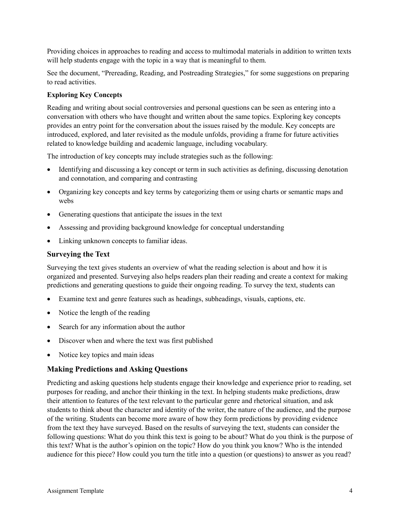Providing choices in approaches to reading and access to multimodal materials in addition to written texts will help students engage with the topic in a way that is meaningful to them.

See the document, "Prereading, Reading, and Postreading Strategies," for some suggestions on preparing to read activities.

#### **Exploring Key Concepts**

Reading and writing about social controversies and personal questions can be seen as entering into a conversation with others who have thought and written about the same topics. Exploring key concepts provides an entry point for the conversation about the issues raised by the module. Key concepts are introduced, explored, and later revisited as the module unfolds, providing a frame for future activities related to knowledge building and academic language, including vocabulary.

The introduction of key concepts may include strategies such as the following:

- Identifying and discussing a key concept or term in such activities as defining, discussing denotation and connotation, and comparing and contrasting
- Organizing key concepts and key terms by categorizing them or using charts or semantic maps and webs
- Generating questions that anticipate the issues in the text
- Assessing and providing background knowledge for conceptual understanding
- Linking unknown concepts to familiar ideas.

#### **Surveying the Text**

Surveying the text gives students an overview of what the reading selection is about and how it is organized and presented. Surveying also helps readers plan their reading and create a context for making predictions and generating questions to guide their ongoing reading. To survey the text, students can

- Examine text and genre features such as headings, subheadings, visuals, captions, etc.
- Notice the length of the reading
- Search for any information about the author
- Discover when and where the text was first published
- Notice key topics and main ideas

#### **Making Predictions and Asking Questions**

Predicting and asking questions help students engage their knowledge and experience prior to reading, set purposes for reading, and anchor their thinking in the text. In helping students make predictions, draw their attention to features of the text relevant to the particular genre and rhetorical situation, and ask students to think about the character and identity of the writer, the nature of the audience, and the purpose of the writing. Students can become more aware of how they form predictions by providing evidence from the text they have surveyed. Based on the results of surveying the text, students can consider the following questions: What do you think this text is going to be about? What do you think is the purpose of this text? What is the author's opinion on the topic? How do you think you know? Who is the intended audience for this piece? How could you turn the title into a question (or questions) to answer as you read?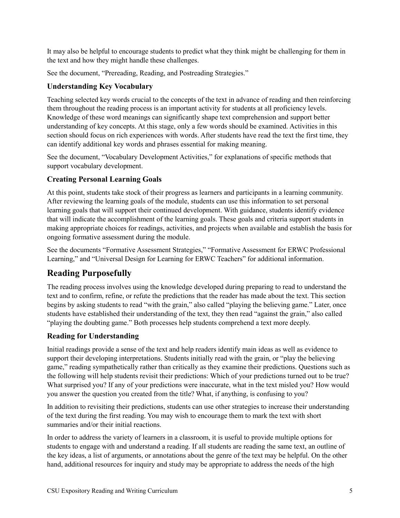It may also be helpful to encourage students to predict what they think might be challenging for them in the text and how they might handle these challenges.

See the document, "Prereading, Reading, and Postreading Strategies."

### **Understanding Key Vocabulary**

Teaching selected key words crucial to the concepts of the text in advance of reading and then reinforcing them throughout the reading process is an important activity for students at all proficiency levels. Knowledge of these word meanings can significantly shape text comprehension and support better understanding of key concepts. At this stage, only a few words should be examined. Activities in this section should focus on rich experiences with words. After students have read the text the first time, they can identify additional key words and phrases essential for making meaning.

See the document, "Vocabulary Development Activities," for explanations of specific methods that support vocabulary development.

## **Creating Personal Learning Goals**

At this point, students take stock of their progress as learners and participants in a learning community. After reviewing the learning goals of the module, students can use this information to set personal learning goals that will support their continued development. With guidance, students identify evidence that will indicate the accomplishment of the learning goals. These goals and criteria support students in making appropriate choices for readings, activities, and projects when available and establish the basis for ongoing formative assessment during the module.

See the documents "Formative Assessment Strategies," "Formative Assessment for ERWC Professional Learning," and "Universal Design for Learning for ERWC Teachers" for additional information.

# **Reading Purposefully**

The reading process involves using the knowledge developed during preparing to read to understand the text and to confirm, refine, or refute the predictions that the reader has made about the text. This section begins by asking students to read "with the grain," also called "playing the believing game." Later, once students have established their understanding of the text, they then read "against the grain," also called "playing the doubting game." Both processes help students comprehend a text more deeply.

## **Reading for Understanding**

Initial readings provide a sense of the text and help readers identify main ideas as well as evidence to support their developing interpretations. Students initially read with the grain, or "play the believing game," reading sympathetically rather than critically as they examine their predictions. Questions such as the following will help students revisit their predictions: Which of your predictions turned out to be true? What surprised you? If any of your predictions were inaccurate, what in the text misled you? How would you answer the question you created from the title? What, if anything, is confusing to you?

In addition to revisiting their predictions, students can use other strategies to increase their understanding of the text during the first reading. You may wish to encourage them to mark the text with short summaries and/or their initial reactions.

In order to address the variety of learners in a classroom, it is useful to provide multiple options for students to engage with and understand a reading. If all students are reading the same text, an outline of the key ideas, a list of arguments, or annotations about the genre of the text may be helpful. On the other hand, additional resources for inquiry and study may be appropriate to address the needs of the high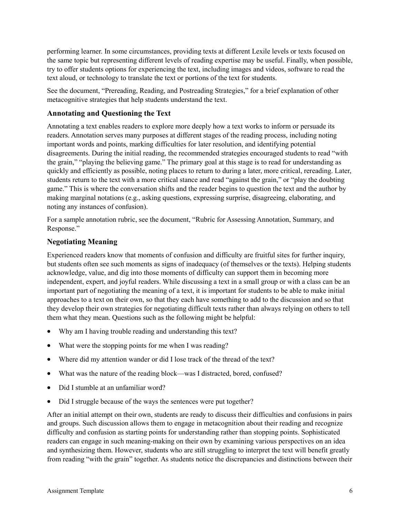performing learner. In some circumstances, providing texts at different Lexile levels or texts focused on the same topic but representing different levels of reading expertise may be useful. Finally, when possible, try to offer students options for experiencing the text, including images and videos, software to read the text aloud, or technology to translate the text or portions of the text for students.

See the document, "Prereading, Reading, and Postreading Strategies," for a brief explanation of other metacognitive strategies that help students understand the text.

#### **Annotating and Questioning the Text**

Annotating a text enables readers to explore more deeply how a text works to inform or persuade its readers. Annotation serves many purposes at different stages of the reading process, including noting important words and points, marking difficulties for later resolution, and identifying potential disagreements. During the initial reading, the recommended strategies encouraged students to read "with the grain," "playing the believing game." The primary goal at this stage is to read for understanding as quickly and efficiently as possible, noting places to return to during a later, more critical, rereading. Later, students return to the text with a more critical stance and read "against the grain," or "play the doubting game." This is where the conversation shifts and the reader begins to question the text and the author by making marginal notations (e.g., asking questions, expressing surprise, disagreeing, elaborating, and noting any instances of confusion).

For a sample annotation rubric, see the document, "Rubric for Assessing Annotation, Summary, and Response."

### **Negotiating Meaning**

Experienced readers know that moments of confusion and difficulty are fruitful sites for further inquiry, but students often see such moments as signs of inadequacy (of themselves or the texts). Helping students acknowledge, value, and dig into those moments of difficulty can support them in becoming more independent, expert, and joyful readers. While discussing a text in a small group or with a class can be an important part of negotiating the meaning of a text, it is important for students to be able to make initial approaches to a text on their own, so that they each have something to add to the discussion and so that they develop their own strategies for negotiating difficult texts rather than always relying on others to tell them what they mean. Questions such as the following might be helpful:

- Why am I having trouble reading and understanding this text?
- What were the stopping points for me when I was reading?
- Where did my attention wander or did I lose track of the thread of the text?
- What was the nature of the reading block—was I distracted, bored, confused?
- Did I stumble at an unfamiliar word?
- Did I struggle because of the ways the sentences were put together?

After an initial attempt on their own, students are ready to discuss their difficulties and confusions in pairs and groups. Such discussion allows them to engage in metacognition about their reading and recognize difficulty and confusion as starting points for understanding rather than stopping points. Sophisticated readers can engage in such meaning-making on their own by examining various perspectives on an idea and synthesizing them. However, students who are still struggling to interpret the text will benefit greatly from reading "with the grain" together. As students notice the discrepancies and distinctions between their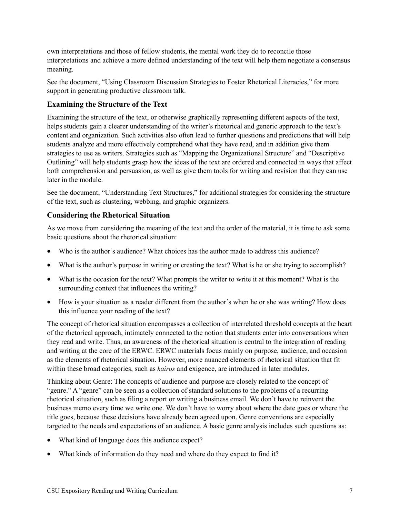own interpretations and those of fellow students, the mental work they do to reconcile those interpretations and achieve a more defined understanding of the text will help them negotiate a consensus meaning.

See the document, "Using Classroom Discussion Strategies to Foster Rhetorical Literacies," for more support in generating productive classroom talk.

### **Examining the Structure of the Text**

Examining the structure of the text, or otherwise graphically representing different aspects of the text, helps students gain a clearer understanding of the writer's rhetorical and generic approach to the text's content and organization. Such activities also often lead to further questions and predictions that will help students analyze and more effectively comprehend what they have read, and in addition give them strategies to use as writers. Strategies such as "Mapping the Organizational Structure" and "Descriptive Outlining" will help students grasp how the ideas of the text are ordered and connected in ways that affect both comprehension and persuasion, as well as give them tools for writing and revision that they can use later in the module.

See the document, "Understanding Text Structures," for additional strategies for considering the structure of the text, such as clustering, webbing, and graphic organizers.

## **Considering the Rhetorical Situation**

As we move from considering the meaning of the text and the order of the material, it is time to ask some basic questions about the rhetorical situation:

- Who is the author's audience? What choices has the author made to address this audience?
- What is the author's purpose in writing or creating the text? What is he or she trying to accomplish?
- What is the occasion for the text? What prompts the writer to write it at this moment? What is the surrounding context that influences the writing?
- How is your situation as a reader different from the author's when he or she was writing? How does this influence your reading of the text?

The concept of rhetorical situation encompasses a collection of interrelated threshold concepts at the heart of the rhetorical approach, intimately connected to the notion that students enter into conversations when they read and write. Thus, an awareness of the rhetorical situation is central to the integration of reading and writing at the core of the ERWC. ERWC materials focus mainly on purpose, audience, and occasion as the elements of rhetorical situation. However, more nuanced elements of rhetorical situation that fit within these broad categories, such as *kairos* and exigence, are introduced in later modules.

Thinking about Genre: The concepts of audience and purpose are closely related to the concept of "genre." A "genre" can be seen as a collection of standard solutions to the problems of a recurring rhetorical situation, such as filing a report or writing a business email. We don't have to reinvent the business memo every time we write one. We don't have to worry about where the date goes or where the title goes, because these decisions have already been agreed upon. Genre conventions are especially targeted to the needs and expectations of an audience. A basic genre analysis includes such questions as:

- What kind of language does this audience expect?
- What kinds of information do they need and where do they expect to find it?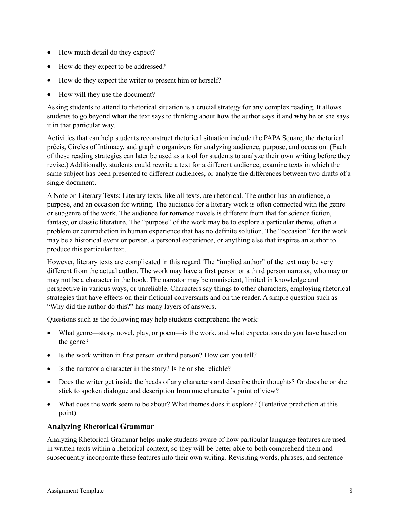- How much detail do they expect?
- How do they expect to be addressed?
- How do they expect the writer to present him or herself?
- How will they use the document?

Asking students to attend to rhetorical situation is a crucial strategy for any complex reading. It allows students to go beyond **what** the text says to thinking about **how** the author says it and **why** he or she says it in that particular way.

Activities that can help students reconstruct rhetorical situation include the PAPA Square, the rhetorical précis, Circles of Intimacy, and graphic organizers for analyzing audience, purpose, and occasion. (Each of these reading strategies can later be used as a tool for students to analyze their own writing before they revise.) Additionally, students could rewrite a text for a different audience, examine texts in which the same subject has been presented to different audiences, or analyze the differences between two drafts of a single document.

A Note on Literary Texts: Literary texts, like all texts, are rhetorical. The author has an audience, a purpose, and an occasion for writing. The audience for a literary work is often connected with the genre or subgenre of the work. The audience for romance novels is different from that for science fiction, fantasy, or classic literature. The "purpose" of the work may be to explore a particular theme, often a problem or contradiction in human experience that has no definite solution. The "occasion" for the work may be a historical event or person, a personal experience, or anything else that inspires an author to produce this particular text.

However, literary texts are complicated in this regard. The "implied author" of the text may be very different from the actual author. The work may have a first person or a third person narrator, who may or may not be a character in the book. The narrator may be omniscient, limited in knowledge and perspective in various ways, or unreliable. Characters say things to other characters, employing rhetorical strategies that have effects on their fictional conversants and on the reader. A simple question such as "Why did the author do this?" has many layers of answers.

Questions such as the following may help students comprehend the work:

- What genre—story, novel, play, or poem—is the work, and what expectations do you have based on the genre?
- Is the work written in first person or third person? How can you tell?
- Is the narrator a character in the story? Is he or she reliable?
- Does the writer get inside the heads of any characters and describe their thoughts? Or does he or she stick to spoken dialogue and description from one character's point of view?
- What does the work seem to be about? What themes does it explore? (Tentative prediction at this point)

#### **Analyzing Rhetorical Grammar**

Analyzing Rhetorical Grammar helps make students aware of how particular language features are used in written texts within a rhetorical context, so they will be better able to both comprehend them and subsequently incorporate these features into their own writing. Revisiting words, phrases, and sentence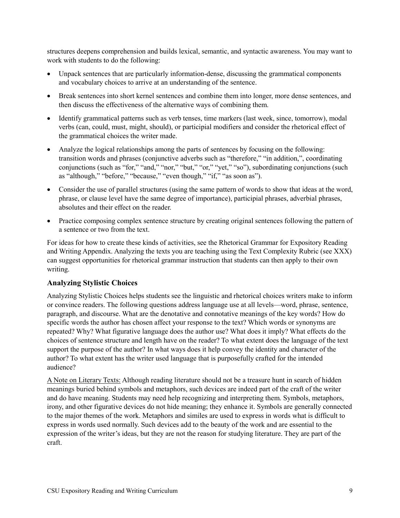structures deepens comprehension and builds lexical, semantic, and syntactic awareness. You may want to work with students to do the following:

- Unpack sentences that are particularly information-dense, discussing the grammatical components and vocabulary choices to arrive at an understanding of the sentence.
- Break sentences into short kernel sentences and combine them into longer, more dense sentences, and then discuss the effectiveness of the alternative ways of combining them.
- Identify grammatical patterns such as verb tenses, time markers (last week, since, tomorrow), modal verbs (can, could, must, might, should), or participial modifiers and consider the rhetorical effect of the grammatical choices the writer made.
- Analyze the logical relationships among the parts of sentences by focusing on the following: transition words and phrases (conjunctive adverbs such as "therefore," "in addition,", coordinating conjunctions (such as "for," "and," "nor," "but," "or," "yet," "so"), subordinating conjunctions (such as "although," "before," "because," "even though," "if," "as soon as").
- Consider the use of parallel structures (using the same pattern of words to show that ideas at the word, phrase, or clause level have the same degree of importance), participial phrases, adverbial phrases, absolutes and their effect on the reader.
- Practice composing complex sentence structure by creating original sentences following the pattern of a sentence or two from the text.

For ideas for how to create these kinds of activities, see the Rhetorical Grammar for Expository Reading and Writing Appendix. Analyzing the texts you are teaching using the Text Complexity Rubric (see XXX) can suggest opportunities for rhetorical grammar instruction that students can then apply to their own writing.

#### **Analyzing Stylistic Choices**

Analyzing Stylistic Choices helps students see the linguistic and rhetorical choices writers make to inform or convince readers. The following questions address language use at all levels—word, phrase, sentence, paragraph, and discourse. What are the denotative and connotative meanings of the key words? How do specific words the author has chosen affect your response to the text? Which words or synonyms are repeated? Why? What figurative language does the author use? What does it imply? What effects do the choices of sentence structure and length have on the reader? To what extent does the language of the text support the purpose of the author? In what ways does it help convey the identity and character of the author? To what extent has the writer used language that is purposefully crafted for the intended audience?

A Note on Literary Texts: Although reading literature should not be a treasure hunt in search of hidden meanings buried behind symbols and metaphors, such devices are indeed part of the craft of the writer and do have meaning. Students may need help recognizing and interpreting them. Symbols, metaphors, irony, and other figurative devices do not hide meaning; they enhance it. Symbols are generally connected to the major themes of the work. Metaphors and similes are used to express in words what is difficult to express in words used normally. Such devices add to the beauty of the work and are essential to the expression of the writer's ideas, but they are not the reason for studying literature. They are part of the craft.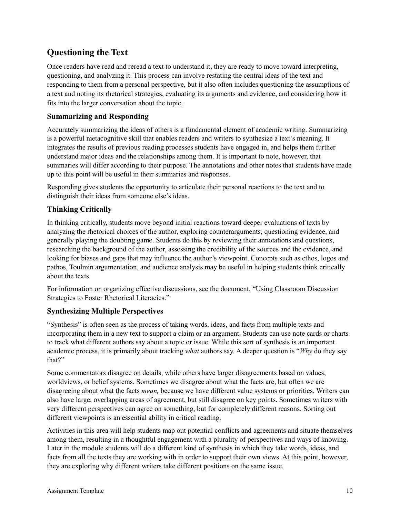## **Questioning the Text**

Once readers have read and reread a text to understand it, they are ready to move toward interpreting, questioning, and analyzing it. This process can involve restating the central ideas of the text and responding to them from a personal perspective, but it also often includes questioning the assumptions of a text and noting its rhetorical strategies, evaluating its arguments and evidence, and considering how it fits into the larger conversation about the topic.

#### **Summarizing and Responding**

Accurately summarizing the ideas of others is a fundamental element of academic writing. Summarizing is a powerful metacognitive skill that enables readers and writers to synthesize a text's meaning. It integrates the results of previous reading processes students have engaged in, and helps them further understand major ideas and the relationships among them. It is important to note, however, that summaries will differ according to their purpose. The annotations and other notes that students have made up to this point will be useful in their summaries and responses.

Responding gives students the opportunity to articulate their personal reactions to the text and to distinguish their ideas from someone else's ideas.

### **Thinking Critically**

In thinking critically, students move beyond initial reactions toward deeper evaluations of texts by analyzing the rhetorical choices of the author, exploring counterarguments, questioning evidence, and generally playing the doubting game. Students do this by reviewing their annotations and questions, researching the background of the author, assessing the credibility of the sources and the evidence, and looking for biases and gaps that may influence the author's viewpoint. Concepts such as ethos, logos and pathos, Toulmin argumentation, and audience analysis may be useful in helping students think critically about the texts.

For information on organizing effective discussions, see the document, "Using Classroom Discussion Strategies to Foster Rhetorical Literacies."

#### **Synthesizing Multiple Perspectives**

"Synthesis" is often seen as the process of taking words, ideas, and facts from multiple texts and incorporating them in a new text to support a claim or an argument. Students can use note cards or charts to track what different authors say about a topic or issue. While this sort of synthesis is an important academic process, it is primarily about tracking *what* authors say. A deeper question is "*Why* do they say that?"

Some commentators disagree on details, while others have larger disagreements based on values, worldviews, or belief systems. Sometimes we disagree about what the facts are, but often we are disagreeing about what the facts *mean,* because we have different value systems or priorities. Writers can also have large, overlapping areas of agreement, but still disagree on key points. Sometimes writers with very different perspectives can agree on something, but for completely different reasons. Sorting out different viewpoints is an essential ability in critical reading.

Activities in this area will help students map out potential conflicts and agreements and situate themselves among them, resulting in a thoughtful engagement with a plurality of perspectives and ways of knowing. Later in the module students will do a different kind of synthesis in which they take words, ideas, and facts from all the texts they are working with in order to support their own views. At this point, however, they are exploring why different writers take different positions on the same issue.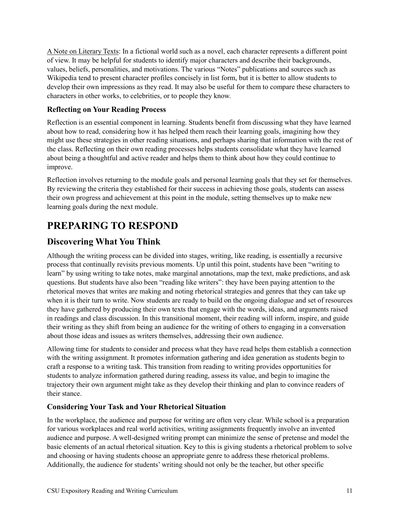A Note on Literary Texts: In a fictional world such as a novel, each character represents a different point of view. It may be helpful for students to identify major characters and describe their backgrounds, values, beliefs, personalities, and motivations. The various "Notes" publications and sources such as Wikipedia tend to present character profiles concisely in list form, but it is better to allow students to develop their own impressions as they read. It may also be useful for them to compare these characters to characters in other works, to celebrities, or to people they know.

#### **Reflecting on Your Reading Process**

Reflection is an essential component in learning. Students benefit from discussing what they have learned about how to read, considering how it has helped them reach their learning goals, imagining how they might use these strategies in other reading situations, and perhaps sharing that information with the rest of the class. Reflecting on their own reading processes helps students consolidate what they have learned about being a thoughtful and active reader and helps them to think about how they could continue to improve.

Reflection involves returning to the module goals and personal learning goals that they set for themselves. By reviewing the criteria they established for their success in achieving those goals, students can assess their own progress and achievement at this point in the module, setting themselves up to make new learning goals during the next module.

# **PREPARING TO RESPOND**

## **Discovering What You Think**

Although the writing process can be divided into stages, writing, like reading, is essentially a recursive process that continually revisits previous moments. Up until this point, students have been "writing to learn" by using writing to take notes, make marginal annotations, map the text, make predictions, and ask questions. But students have also been "reading like writers": they have been paying attention to the rhetorical moves that writes are making and noting rhetorical strategies and genres that they can take up when it is their turn to write. Now students are ready to build on the ongoing dialogue and set of resources they have gathered by producing their own texts that engage with the words, ideas, and arguments raised in readings and class discussion. In this transitional moment, their reading will inform, inspire, and guide their writing as they shift from being an audience for the writing of others to engaging in a conversation about those ideas and issues as writers themselves, addressing their own audience.

Allowing time for students to consider and process what they have read helps them establish a connection with the writing assignment. It promotes information gathering and idea generation as students begin to craft a response to a writing task. This transition from reading to writing provides opportunities for students to analyze information gathered during reading, assess its value, and begin to imagine the trajectory their own argument might take as they develop their thinking and plan to convince readers of their stance.

## **Considering Your Task and Your Rhetorical Situation**

In the workplace, the audience and purpose for writing are often very clear. While school is a preparation for various workplaces and real world activities, writing assignments frequently involve an invented audience and purpose. A well-designed writing prompt can minimize the sense of pretense and model the basic elements of an actual rhetorical situation. Key to this is giving students a rhetorical problem to solve and choosing or having students choose an appropriate genre to address these rhetorical problems. Additionally, the audience for students' writing should not only be the teacher, but other specific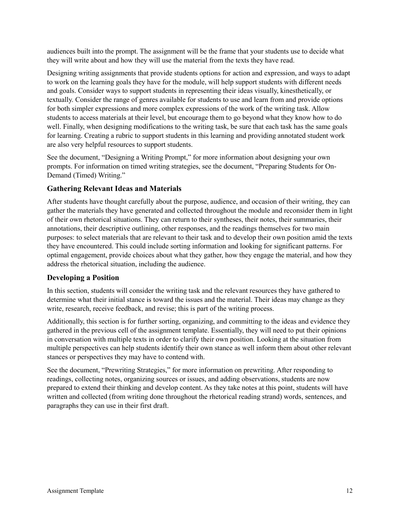audiences built into the prompt. The assignment will be the frame that your students use to decide what they will write about and how they will use the material from the texts they have read.

Designing writing assignments that provide students options for action and expression, and ways to adapt to work on the learning goals they have for the module, will help support students with different needs and goals. Consider ways to support students in representing their ideas visually, kinesthetically, or textually. Consider the range of genres available for students to use and learn from and provide options for both simpler expressions and more complex expressions of the work of the writing task. Allow students to access materials at their level, but encourage them to go beyond what they know how to do well. Finally, when designing modifications to the writing task, be sure that each task has the same goals for learning. Creating a rubric to support students in this learning and providing annotated student work are also very helpful resources to support students.

See the document, "Designing a Writing Prompt," for more information about designing your own prompts. For information on timed writing strategies, see the document, "Preparing Students for On-Demand (Timed) Writing."

#### **Gathering Relevant Ideas and Materials**

After students have thought carefully about the purpose, audience, and occasion of their writing, they can gather the materials they have generated and collected throughout the module and reconsider them in light of their own rhetorical situations. They can return to their syntheses, their notes, their summaries, their annotations, their descriptive outlining, other responses, and the readings themselves for two main purposes: to select materials that are relevant to their task and to develop their own position amid the texts they have encountered. This could include sorting information and looking for significant patterns. For optimal engagement, provide choices about what they gather, how they engage the material, and how they address the rhetorical situation, including the audience.

#### **Developing a Position**

In this section, students will consider the writing task and the relevant resources they have gathered to determine what their initial stance is toward the issues and the material. Their ideas may change as they write, research, receive feedback, and revise; this is part of the writing process.

Additionally, this section is for further sorting, organizing, and committing to the ideas and evidence they gathered in the previous cell of the assignment template. Essentially, they will need to put their opinions in conversation with multiple texts in order to clarify their own position. Looking at the situation from multiple perspectives can help students identify their own stance as well inform them about other relevant stances or perspectives they may have to contend with.

See the document, "Prewriting Strategies," for more information on prewriting. After responding to readings, collecting notes, organizing sources or issues, and adding observations, students are now prepared to extend their thinking and develop content. As they take notes at this point, students will have written and collected (from writing done throughout the rhetorical reading strand) words, sentences, and paragraphs they can use in their first draft.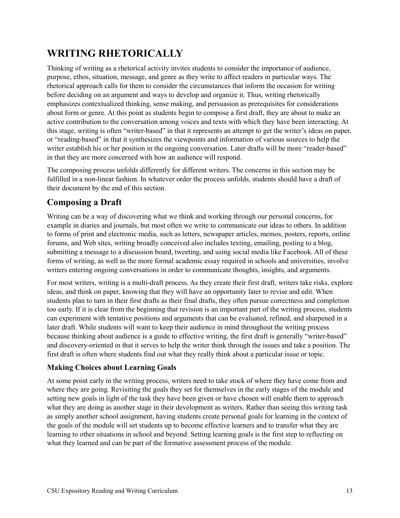# **WRITING RHETORICALLY**

Thinking of writing as a rhetorical activity invites students to consider the importance of audience, purpose, ethos, situation, message, and genre as they write to affect readers in particular ways. The rhetorical approach calls for them to consider the circumstances that inform the occasion for writing before deciding on an argument and ways to develop and organize it. Thus, writing rhetorically emphasizes contextualized thinking, sense making, and persuasion as prerequisites for considerations about form or genre. At this point as students begin to compose a first draft, they are about to make an active contribution to the conversation among voices and texts with which they have been interacting. At this stage, writing is often "writer-based" in that it represents an attempt to get the writer's ideas on paper, or "reading-based" in that it synthesizes the viewpoints and information of various sources to help the writer establish his or her position in the ongoing conversation. Later drafts will be more "reader-based" in that they are more concerned with how an audience will respond.

The composing process unfolds differently for different writers. The concerns in this section may be fulfilled in a non-linear fashion. In whatever order the process unfolds, students should have a draft of their document by the end of this section.

# **Composing a Draft**

Writing can be a way of discovering what we think and working through our personal concerns, for example in diaries and journals, but most often we write to communicate our ideas to others. In addition to forms of print and electronic media, such as letters, newspaper articles, memos, posters, reports, online forums, and Web sites, writing broadly conceived also includes texting, emailing, posting to a blog, submitting a message to a discussion board, tweeting, and using social media like Facebook. All of these forms of writing, as well as the more formal academic essay required in schools and universities, involve writers entering ongoing conversations in order to communicate thoughts, insights, and arguments.

For most writers, writing is a multi-draft process. As they create their first draft, writers take risks, explore ideas, and think on paper, knowing that they will have an opportunity later to revise and edit. When students plan to turn in their first drafts as their final drafts, they often pursue correctness and completion too early. If it is clear from the beginning that revision is an important part of the writing process, students can experiment with tentative positions and arguments that can be evaluated, refined, and sharpened in a later draft. While students will want to keep their audience in mind throughout the writing process because thinking about audience is a guide to effective writing, the first draft is generally "writer-based" and discovery-oriented in that it serves to help the writer think through the issues and take a position. The first draft is often where students find out what they really think about a particular issue or topic.

#### **Making Choices about Learning Goals**

At some point early in the writing process, writers need to take stock of where they have come from and where they are going. Revisiting the goals they set for themselves in the early stages of the module and setting new goals in light of the task they have been given or have chosen will enable them to approach what they are doing as another stage in their development as writers. Rather than seeing this writing task as simply another school assignment, having students create personal goals for learning in the context of the goals of the module will set students up to become effective learners and to transfer what they are learning to other situations in school and beyond. Setting learning goals is the first step to reflecting on what they learned and can be part of the formative assessment process of the module.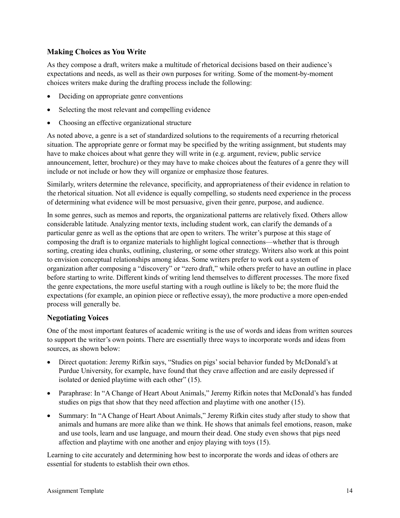#### **Making Choices as You Write**

As they compose a draft, writers make a multitude of rhetorical decisions based on their audience's expectations and needs, as well as their own purposes for writing. Some of the moment-by-moment choices writers make during the drafting process include the following:

- Deciding on appropriate genre conventions
- Selecting the most relevant and compelling evidence
- Choosing an effective organizational structure

As noted above, a genre is a set of standardized solutions to the requirements of a recurring rhetorical situation. The appropriate genre or format may be specified by the writing assignment, but students may have to make choices about what genre they will write in (e.g. argument, review, public service announcement, letter, brochure) or they may have to make choices about the features of a genre they will include or not include or how they will organize or emphasize those features.

Similarly, writers determine the relevance, specificity, and appropriateness of their evidence in relation to the rhetorical situation. Not all evidence is equally compelling, so students need experience in the process of determining what evidence will be most persuasive, given their genre, purpose, and audience.

In some genres, such as memos and reports, the organizational patterns are relatively fixed. Others allow considerable latitude. Analyzing mentor texts, including student work, can clarify the demands of a particular genre as well as the options that are open to writers. The writer's purpose at this stage of composing the draft is to organize materials to highlight logical connections—whether that is through sorting, creating idea chunks, outlining, clustering, or some other strategy. Writers also work at this point to envision conceptual relationships among ideas. Some writers prefer to work out a system of organization after composing a "discovery" or "zero draft," while others prefer to have an outline in place before starting to write. Different kinds of writing lend themselves to different processes. The more fixed the genre expectations, the more useful starting with a rough outline is likely to be; the more fluid the expectations (for example, an opinion piece or reflective essay), the more productive a more open-ended process will generally be.

#### **Negotiating Voices**

One of the most important features of academic writing is the use of words and ideas from written sources to support the writer's own points. There are essentially three ways to incorporate words and ideas from sources, as shown below:

- Direct quotation: Jeremy Rifkin says, "Studies on pigs' social behavior funded by McDonald's at Purdue University, for example, have found that they crave affection and are easily depressed if isolated or denied playtime with each other" (15).
- Paraphrase: In "A Change of Heart About Animals," Jeremy Rifkin notes that McDonald's has funded studies on pigs that show that they need affection and playtime with one another (15).
- Summary: In "A Change of Heart About Animals," Jeremy Rifkin cites study after study to show that animals and humans are more alike than we think. He shows that animals feel emotions, reason, make and use tools, learn and use language, and mourn their dead. One study even shows that pigs need affection and playtime with one another and enjoy playing with toys (15).

Learning to cite accurately and determining how best to incorporate the words and ideas of others are essential for students to establish their own ethos.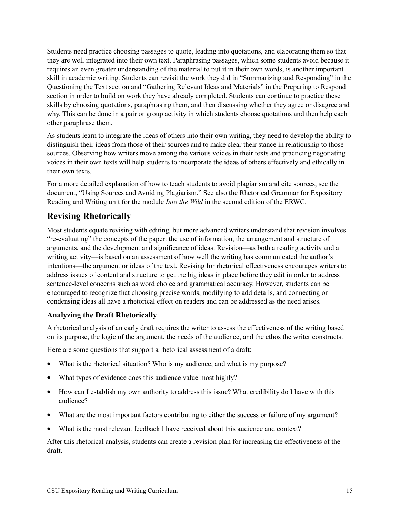Students need practice choosing passages to quote, leading into quotations, and elaborating them so that they are well integrated into their own text. Paraphrasing passages, which some students avoid because it requires an even greater understanding of the material to put it in their own words, is another important skill in academic writing. Students can revisit the work they did in "Summarizing and Responding" in the Questioning the Text section and "Gathering Relevant Ideas and Materials" in the Preparing to Respond section in order to build on work they have already completed. Students can continue to practice these skills by choosing quotations, paraphrasing them, and then discussing whether they agree or disagree and why. This can be done in a pair or group activity in which students choose quotations and then help each other paraphrase them.

As students learn to integrate the ideas of others into their own writing, they need to develop the ability to distinguish their ideas from those of their sources and to make clear their stance in relationship to those sources. Observing how writers move among the various voices in their texts and practicing negotiating voices in their own texts will help students to incorporate the ideas of others effectively and ethically in their own texts.

For a more detailed explanation of how to teach students to avoid plagiarism and cite sources, see the document, "Using Sources and Avoiding Plagiarism." See also the Rhetorical Grammar for Expository Reading and Writing unit for the module *Into the Wild* in the second edition of the ERWC.

## **Revising Rhetorically**

Most students equate revising with editing, but more advanced writers understand that revision involves "re-evaluating" the concepts of the paper: the use of information, the arrangement and structure of arguments, and the development and significance of ideas. Revision—as both a reading activity and a writing activity—is based on an assessment of how well the writing has communicated the author's intentions—the argument or ideas of the text. Revising for rhetorical effectiveness encourages writers to address issues of content and structure to get the big ideas in place before they edit in order to address sentence-level concerns such as word choice and grammatical accuracy. However, students can be encouraged to recognize that choosing precise words, modifying to add details, and connecting or condensing ideas all have a rhetorical effect on readers and can be addressed as the need arises.

#### **Analyzing the Draft Rhetorically**

A rhetorical analysis of an early draft requires the writer to assess the effectiveness of the writing based on its purpose, the logic of the argument, the needs of the audience, and the ethos the writer constructs.

Here are some questions that support a rhetorical assessment of a draft:

- What is the rhetorical situation? Who is my audience, and what is my purpose?
- What types of evidence does this audience value most highly?
- How can I establish my own authority to address this issue? What credibility do I have with this audience?
- What are the most important factors contributing to either the success or failure of my argument?
- What is the most relevant feedback I have received about this audience and context?

After this rhetorical analysis, students can create a revision plan for increasing the effectiveness of the draft.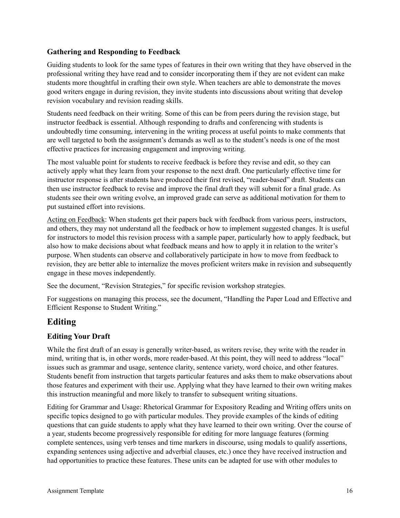#### **Gathering and Responding to Feedback**

Guiding students to look for the same types of features in their own writing that they have observed in the professional writing they have read and to consider incorporating them if they are not evident can make students more thoughtful in crafting their own style. When teachers are able to demonstrate the moves good writers engage in during revision, they invite students into discussions about writing that develop revision vocabulary and revision reading skills.

Students need feedback on their writing. Some of this can be from peers during the revision stage, but instructor feedback is essential. Although responding to drafts and conferencing with students is undoubtedly time consuming, intervening in the writing process at useful points to make comments that are well targeted to both the assignment's demands as well as to the student's needs is one of the most effective practices for increasing engagement and improving writing.

The most valuable point for students to receive feedback is before they revise and edit, so they can actively apply what they learn from your response to the next draft. One particularly effective time for instructor response is after students have produced their first revised, "reader-based" draft. Students can then use instructor feedback to revise and improve the final draft they will submit for a final grade. As students see their own writing evolve, an improved grade can serve as additional motivation for them to put sustained effort into revisions.

Acting on Feedback: When students get their papers back with feedback from various peers, instructors, and others, they may not understand all the feedback or how to implement suggested changes. It is useful for instructors to model this revision process with a sample paper, particularly how to apply feedback, but also how to make decisions about what feedback means and how to apply it in relation to the writer's purpose. When students can observe and collaboratively participate in how to move from feedback to revision, they are better able to internalize the moves proficient writers make in revision and subsequently engage in these moves independently.

See the document, "Revision Strategies," for specific revision workshop strategies.

For suggestions on managing this process, see the document, "Handling the Paper Load and Effective and Efficient Response to Student Writing."

## **Editing**

#### **Editing Your Draft**

While the first draft of an essay is generally writer-based, as writers revise, they write with the reader in mind, writing that is, in other words, more reader-based. At this point, they will need to address "local" issues such as grammar and usage, sentence clarity, sentence variety, word choice, and other features. Students benefit from instruction that targets particular features and asks them to make observations about those features and experiment with their use. Applying what they have learned to their own writing makes this instruction meaningful and more likely to transfer to subsequent writing situations.

Editing for Grammar and Usage: Rhetorical Grammar for Expository Reading and Writing offers units on specific topics designed to go with particular modules. They provide examples of the kinds of editing questions that can guide students to apply what they have learned to their own writing. Over the course of a year, students become progressively responsible for editing for more language features (forming complete sentences, using verb tenses and time markers in discourse, using modals to qualify assertions, expanding sentences using adjective and adverbial clauses, etc.) once they have received instruction and had opportunities to practice these features. These units can be adapted for use with other modules to